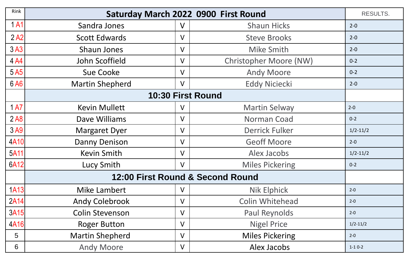| Rink |                                  |        | Saturday March 2022 0900 First Round | <b>RESULTS.</b> |  |
|------|----------------------------------|--------|--------------------------------------|-----------------|--|
| 1A1  | Sandra Jones                     | $\vee$ | <b>Shaun Hicks</b>                   | $2 - 0$         |  |
| 2A2  | <b>Scott Edwards</b>             | $\vee$ | <b>Steve Brooks</b>                  | $2 - 0$         |  |
| 3A3  | <b>Shaun Jones</b>               | $\vee$ | Mike Smith                           | $2 - 0$         |  |
| 4 A4 | John Scoffield                   | $\vee$ | Christopher Moore (NW)               | $0 - 2$         |  |
| 5A5  | <b>Sue Cooke</b>                 | $\vee$ | <b>Andy Moore</b>                    | $0 - 2$         |  |
| 6 A6 | <b>Martin Shepherd</b>           | $\vee$ | <b>Eddy Niciecki</b>                 | $2 - 0$         |  |
|      | 10:30 First Round                |        |                                      |                 |  |
| 1 A7 | <b>Kevin Mullett</b>             | V      | <b>Martin Selway</b>                 | $2 - 0$         |  |
| 2A8  | Dave Williams                    | $\vee$ | Norman Coad                          | $0 - 2$         |  |
| 3A9  | <b>Margaret Dyer</b>             | V      | <b>Derrick Fulker</b>                | $1/2 - 11/2$    |  |
| 4A10 | Danny Denison                    | V      | <b>Geoff Moore</b>                   | $2 - 0$         |  |
| 5A11 | <b>Kevin Smith</b>               | $\vee$ | Alex Jacobs                          | $1/2 - 11/2$    |  |
| 6A12 | Lucy Smith                       | $\vee$ | <b>Miles Pickering</b>               | $0 - 2$         |  |
|      | 12:00 First Round & Second Round |        |                                      |                 |  |
| 1A13 | Mike Lambert                     | $\vee$ | <b>Nik Elphick</b>                   | $2 - 0$         |  |
| 2A14 | <b>Andy Colebrook</b>            | $\vee$ | Colin Whitehead                      | $2 - 0$         |  |
| 3A15 | <b>Colin Stevenson</b>           | $\vee$ | Paul Reynolds                        | $2 - 0$         |  |
| 4A16 | <b>Roger Button</b>              | $\vee$ | <b>Nigel Price</b>                   | $1/2 - 11/2$    |  |
| 5    | <b>Martin Shepherd</b>           | V      | <b>Miles Pickering</b>               | $2 - 0$         |  |
| 6    | <b>Andy Moore</b>                | $\vee$ | Alex Jacobs                          | $1-10-2$        |  |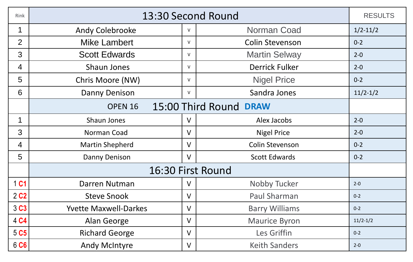| Rink             | 13:30 Second Round                |        |                        |              |  |  |
|------------------|-----------------------------------|--------|------------------------|--------------|--|--|
| $\mathbf 1$      | <b>Andy Colebrooke</b>            | V      | <b>Norman Coad</b>     | $1/2 - 11/2$ |  |  |
| 2                | <b>Mike Lambert</b>               | V      | <b>Colin Stevenson</b> | $0 - 2$      |  |  |
| 3                | <b>Scott Edwards</b>              | $\vee$ | <b>Martin Selway</b>   | $2 - 0$      |  |  |
| $\overline{4}$   | Shaun Jones                       | V      | <b>Derrick Fulker</b>  | $2 - 0$      |  |  |
| 5                | Chris Moore (NW)                  | V      | <b>Nigel Price</b>     | $0 - 2$      |  |  |
| 6                | <b>Danny Denison</b>              | V      | Sandra Jones           | $11/2 - 1/2$ |  |  |
|                  | 15:00 Third Round DRAW<br>OPEN 16 |        |                        |              |  |  |
| $\mathbf 1$      | <b>Shaun Jones</b>                | $\vee$ | Alex Jacobs            | $2 - 0$      |  |  |
| 3                | Norman Coad                       | $\vee$ | <b>Nigel Price</b>     | $2 - 0$      |  |  |
| $\overline{4}$   | <b>Martin Shepherd</b>            | $\vee$ | <b>Colin Stevenson</b> | $0 - 2$      |  |  |
| 5                | Danny Denison                     | $\vee$ | <b>Scott Edwards</b>   | $0 - 2$      |  |  |
|                  | 16:30 First Round                 |        |                        |              |  |  |
| 1 C1             | Darren Nutman                     | $\vee$ | Nobby Tucker           | $2 - 0$      |  |  |
| 2 <sub>c2</sub>  | <b>Steve Snook</b>                | $\vee$ | Paul Sharman           | $0 - 2$      |  |  |
| 3C3              | <b>Yvette Maxwell-Darkes</b>      | $\vee$ | <b>Barry Williams</b>  | $0 - 2$      |  |  |
| 4 C4             | Alan George                       | $\vee$ | <b>Maurice Byron</b>   | $11/2 - 1/2$ |  |  |
| 5 C <sub>5</sub> | <b>Richard George</b>             | $\vee$ | Les Griffin            | $0 - 2$      |  |  |
| 6 C6             | <b>Andy McIntyre</b>              | $\vee$ | <b>Keith Sanders</b>   | $2 - 0$      |  |  |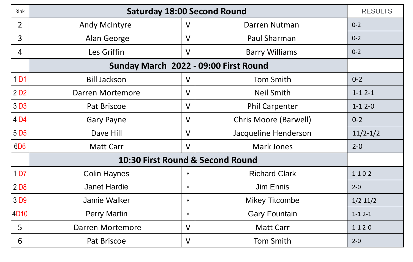| Rink             | <b>Saturday 18:00 Second Round</b>    |              |                              |              |  |  |  |
|------------------|---------------------------------------|--------------|------------------------------|--------------|--|--|--|
| $\overline{2}$   | <b>Andy McIntyre</b>                  | $\vee$       | Darren Nutman                | $0 - 2$      |  |  |  |
| 3                | Alan George                           | $\vee$       | Paul Sharman                 | $0 - 2$      |  |  |  |
| 4                | Les Griffin                           | $\vee$       | <b>Barry Williams</b>        | $0 - 2$      |  |  |  |
|                  | Sunday March 2022 - 09:00 First Round |              |                              |              |  |  |  |
| 1 D1             | <b>Bill Jackson</b>                   | $\mathsf{V}$ | <b>Tom Smith</b>             | $0 - 2$      |  |  |  |
| 2D2              | Darren Mortemore                      | $\vee$       | <b>Neil Smith</b>            | $1 - 12 - 1$ |  |  |  |
| 3 <sub>D3</sub>  | Pat Briscoe                           | $\vee$       | <b>Phil Carpenter</b>        | $1 - 12 - 0$ |  |  |  |
| 4 D4             | <b>Gary Payne</b>                     | $\vee$       | <b>Chris Moore (Barwell)</b> | $0 - 2$      |  |  |  |
| 5 D <sub>5</sub> | Dave Hill                             | $\vee$       | Jacqueline Henderson         | $11/2 - 1/2$ |  |  |  |
| 6D <sub>6</sub>  | <b>Matt Carr</b>                      | $\vee$       | <b>Mark Jones</b>            | $2 - 0$      |  |  |  |
|                  | 10:30 First Round & Second Round      |              |                              |              |  |  |  |
| 1 <sub>D7</sub>  | <b>Colin Haynes</b>                   | $\vee$       | <b>Richard Clark</b>         | $1 - 10 - 2$ |  |  |  |
| 2 <sub>D8</sub>  | <b>Janet Hardie</b>                   | $\mathsf{V}$ | <b>Jim Ennis</b>             | $2 - 0$      |  |  |  |
| 3 D9             | <b>Jamie Walker</b>                   | $\vee$       | <b>Mikey Titcombe</b>        | $1/2 - 11/2$ |  |  |  |
| 4D10             | <b>Perry Martin</b>                   | $\mathsf{V}$ | <b>Gary Fountain</b>         | $1 - 12 - 1$ |  |  |  |
| 5                | Darren Mortemore                      | $\vee$       | <b>Matt Carr</b>             | $1 - 12 - 0$ |  |  |  |
| 6                | Pat Briscoe                           | $\vee$       | <b>Tom Smith</b>             | $2 - 0$      |  |  |  |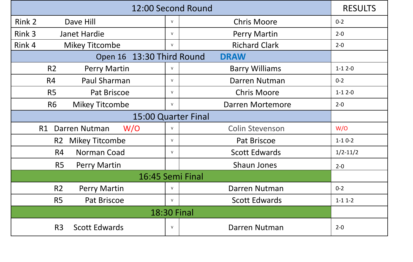| 12:00 Second Round                       |                       |        |                        |              |  |
|------------------------------------------|-----------------------|--------|------------------------|--------------|--|
| Rink 2                                   | Dave Hill             | $\vee$ | <b>Chris Moore</b>     | $0 - 2$      |  |
| Rink 3                                   | <b>Janet Hardie</b>   | $\vee$ | <b>Perry Martin</b>    | $2 - 0$      |  |
| Rink 4                                   | <b>Mikey Titcombe</b> | $\vee$ | <b>Richard Clark</b>   | $2 - 0$      |  |
| Open 16 13:30 Third Round<br><b>DRAW</b> |                       |        |                        |              |  |
| R <sub>2</sub>                           | Perry Martin          | $\vee$ | <b>Barry Williams</b>  | $1 - 12 - 0$ |  |
| R4                                       | Paul Sharman          | $\vee$ | Darren Nutman          | $0 - 2$      |  |
| R <sub>5</sub>                           | Pat Briscoe           | $\vee$ | <b>Chris Moore</b>     | $1 - 12 - 0$ |  |
| <b>R6</b>                                | <b>Mikey Titcombe</b> | $\vee$ | Darren Mortemore       | $2 - 0$      |  |
| 15:00 Quarter Final                      |                       |        |                        |              |  |
| R1                                       | W/O<br>Darren Nutman  | $\vee$ | <b>Colin Stevenson</b> | W/O          |  |
|                                          | R2 Mikey Titcombe     | $\vee$ | Pat Briscoe            | $1 - 10 - 2$ |  |
| R4                                       | Norman Coad           | $\vee$ | <b>Scott Edwards</b>   | $1/2 - 11/2$ |  |
| R <sub>5</sub>                           | <b>Perry Martin</b>   |        | <b>Shaun Jones</b>     | $2 - 0$      |  |
| 16:45 Semi Final                         |                       |        |                        |              |  |
| R <sub>2</sub>                           | <b>Perry Martin</b>   | V      | Darren Nutman          | $0 - 2$      |  |
| R <sub>5</sub>                           | Pat Briscoe           | $\vee$ | <b>Scott Edwards</b>   | $1 - 11 - 2$ |  |
| <b>18:30 Final</b>                       |                       |        |                        |              |  |
| R <sub>3</sub>                           | <b>Scott Edwards</b>  | $\vee$ | Darren Nutman          | $2 - 0$      |  |